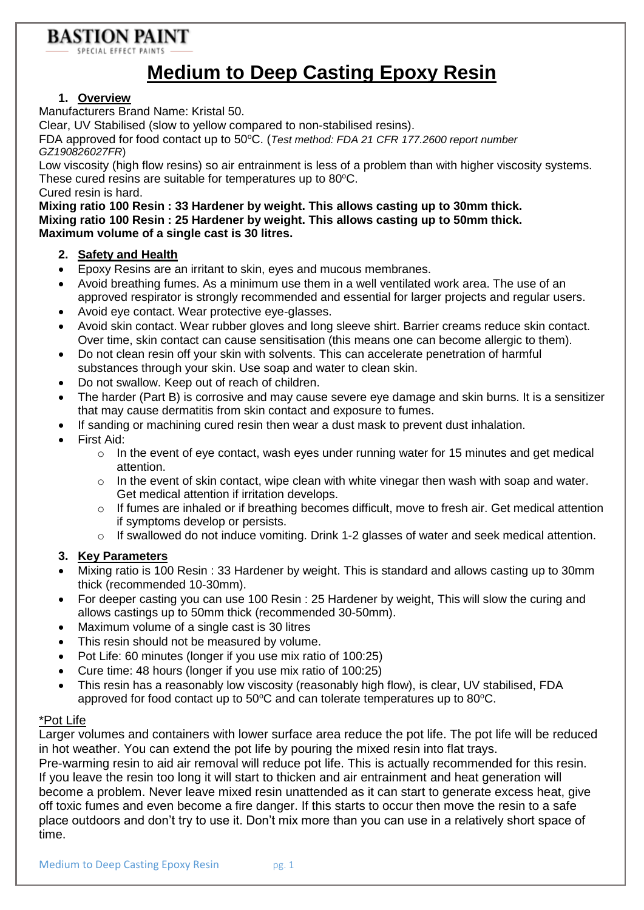# **BASTION PAINT**

SPECIAL EFFECT P/

# **Medium to Deep Casting Epoxy Resin**

### **1. Overview**

Manufacturers Brand Name: Kristal 50.

Clear, UV Stabilised (slow to yellow compared to non-stabilised resins).

FDA approved for food contact up to 50°C. (*Test method: FDA 21 CFR 177.2600 report number GZ190826027FR*)

Low viscosity (high flow resins) so air entrainment is less of a problem than with higher viscosity systems. These cured resins are suitable for temperatures up to  $80^{\circ}$ C.

Cured resin is hard.

**Mixing ratio 100 Resin : 33 Hardener by weight. This allows casting up to 30mm thick. Mixing ratio 100 Resin : 25 Hardener by weight. This allows casting up to 50mm thick. Maximum volume of a single cast is 30 litres.**

#### **2. Safety and Health**

- Epoxy Resins are an irritant to skin, eyes and mucous membranes.
- Avoid breathing fumes. As a minimum use them in a well ventilated work area. The use of an approved respirator is strongly recommended and essential for larger projects and regular users.
- Avoid eye contact. Wear protective eye-glasses.
- Avoid skin contact. Wear rubber gloves and long sleeve shirt. Barrier creams reduce skin contact. Over time, skin contact can cause sensitisation (this means one can become allergic to them).
- Do not clean resin off your skin with solvents. This can accelerate penetration of harmful substances through your skin. Use soap and water to clean skin.
- Do not swallow. Keep out of reach of children.
- The harder (Part B) is corrosive and may cause severe eye damage and skin burns. It is a sensitizer that may cause dermatitis from skin contact and exposure to fumes.
- If sanding or machining cured resin then wear a dust mask to prevent dust inhalation.
- First Aid:
	- o In the event of eye contact, wash eyes under running water for 15 minutes and get medical attention.
	- o In the event of skin contact, wipe clean with white vinegar then wash with soap and water. Get medical attention if irritation develops.
	- $\circ$  If fumes are inhaled or if breathing becomes difficult, move to fresh air. Get medical attention if symptoms develop or persists.
	- o If swallowed do not induce vomiting. Drink 1-2 glasses of water and seek medical attention.

### **3. Key Parameters**

- Mixing ratio is 100 Resin : 33 Hardener by weight. This is standard and allows casting up to 30mm thick (recommended 10-30mm).
- For deeper casting you can use 100 Resin : 25 Hardener by weight, This will slow the curing and allows castings up to 50mm thick (recommended 30-50mm).
- Maximum volume of a single cast is 30 litres
- This resin should not be measured by volume.
- Pot Life: 60 minutes (longer if you use mix ratio of 100:25)
- Cure time: 48 hours (longer if you use mix ratio of 100:25)
- This resin has a reasonably low viscosity (reasonably high flow), is clear, UV stabilised, FDA approved for food contact up to  $50^{\circ}$ C and can tolerate temperatures up to  $80^{\circ}$ C.

#### \*Pot Life

Larger volumes and containers with lower surface area reduce the pot life. The pot life will be reduced in hot weather. You can extend the pot life by pouring the mixed resin into flat trays.

Pre-warming resin to aid air removal will reduce pot life. This is actually recommended for this resin. If you leave the resin too long it will start to thicken and air entrainment and heat generation will become a problem. Never leave mixed resin unattended as it can start to generate excess heat, give off toxic fumes and even become a fire danger. If this starts to occur then move the resin to a safe place outdoors and don't try to use it. Don't mix more than you can use in a relatively short space of time.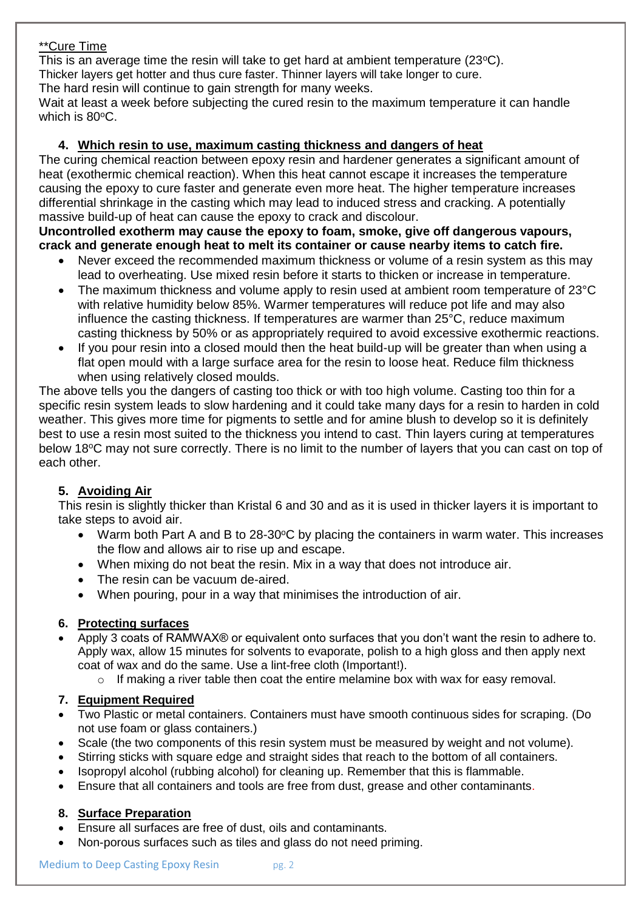### \*\*Cure Time

This is an average time the resin will take to get hard at ambient temperature (23°C). Thicker layers get hotter and thus cure faster. Thinner layers will take longer to cure. The hard resin will continue to gain strength for many weeks.

Wait at least a week before subjecting the cured resin to the maximum temperature it can handle which is 80°C.

### **4. Which resin to use, maximum casting thickness and dangers of heat**

The curing chemical reaction between epoxy resin and hardener generates a significant amount of heat (exothermic chemical reaction). When this heat cannot escape it increases the temperature causing the epoxy to cure faster and generate even more heat. The higher temperature increases differential shrinkage in the casting which may lead to induced stress and cracking. A potentially massive build-up of heat can cause the epoxy to crack and discolour.

### **Uncontrolled exotherm may cause the epoxy to foam, smoke, give off dangerous vapours, crack and generate enough heat to melt its container or cause nearby items to catch fire.**

- Never exceed the recommended maximum thickness or volume of a resin system as this may lead to overheating. Use mixed resin before it starts to thicken or increase in temperature.
- The maximum thickness and volume apply to resin used at ambient room temperature of 23°C with relative humidity below 85%. Warmer temperatures will reduce pot life and may also influence the casting thickness. If temperatures are warmer than 25°C, reduce maximum casting thickness by 50% or as appropriately required to avoid excessive exothermic reactions.
- If you pour resin into a closed mould then the heat build-up will be greater than when using a flat open mould with a large surface area for the resin to loose heat. Reduce film thickness when using relatively closed moulds.

The above tells you the dangers of casting too thick or with too high volume. Casting too thin for a specific resin system leads to slow hardening and it could take many days for a resin to harden in cold weather. This gives more time for pigments to settle and for amine blush to develop so it is definitely best to use a resin most suited to the thickness you intend to cast. Thin layers curing at temperatures below 18°C may not sure correctly. There is no limit to the number of layers that you can cast on top of each other.

# **5. Avoiding Air**

This resin is slightly thicker than Kristal 6 and 30 and as it is used in thicker layers it is important to take steps to avoid air.

- Warm both Part A and B to 28-30°C by placing the containers in warm water. This increases the flow and allows air to rise up and escape.
- When mixing do not beat the resin. Mix in a way that does not introduce air.
- The resin can be vacuum de-aired.
- When pouring, pour in a way that minimises the introduction of air.

### **6. Protecting surfaces**

- Apply 3 coats of RAMWAX® or equivalent onto surfaces that you don't want the resin to adhere to. Apply wax, allow 15 minutes for solvents to evaporate, polish to a high gloss and then apply next coat of wax and do the same. Use a lint-free cloth (Important!).
	- o If making a river table then coat the entire melamine box with wax for easy removal.

### **7. Equipment Required**

- Two Plastic or metal containers. Containers must have smooth continuous sides for scraping. (Do not use foam or glass containers.)
- Scale (the two components of this resin system must be measured by weight and not volume).
- Stirring sticks with square edge and straight sides that reach to the bottom of all containers.
- Isopropyl alcohol (rubbing alcohol) for cleaning up. Remember that this is flammable.
- Ensure that all containers and tools are free from dust, grease and other contaminants.

### **8. Surface Preparation**

- Ensure all surfaces are free of dust, oils and contaminants.
- Non-porous surfaces such as tiles and glass do not need priming.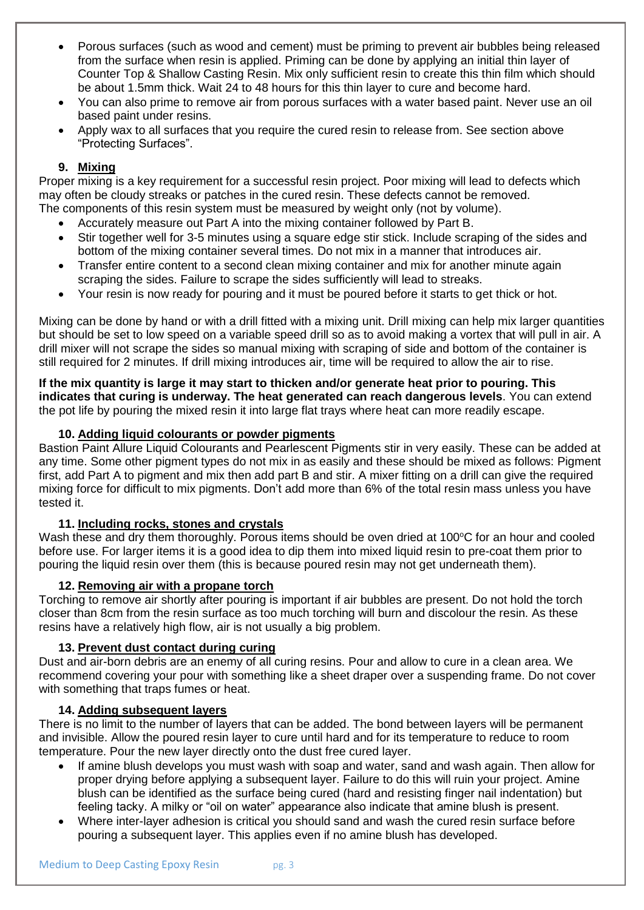- Porous surfaces (such as wood and cement) must be priming to prevent air bubbles being released from the surface when resin is applied. Priming can be done by applying an initial thin layer of Counter Top & Shallow Casting Resin. Mix only sufficient resin to create this thin film which should be about 1.5mm thick. Wait 24 to 48 hours for this thin layer to cure and become hard.
- You can also prime to remove air from porous surfaces with a water based paint. Never use an oil based paint under resins.
- Apply wax to all surfaces that you require the cured resin to release from. See section above "Protecting Surfaces".

# **9. Mixing**

Proper mixing is a key requirement for a successful resin project. Poor mixing will lead to defects which may often be cloudy streaks or patches in the cured resin. These defects cannot be removed. The components of this resin system must be measured by weight only (not by volume).

- Accurately measure out Part A into the mixing container followed by Part B.
- Stir together well for 3-5 minutes using a square edge stir stick. Include scraping of the sides and bottom of the mixing container several times. Do not mix in a manner that introduces air.
- Transfer entire content to a second clean mixing container and mix for another minute again scraping the sides. Failure to scrape the sides sufficiently will lead to streaks.
- Your resin is now ready for pouring and it must be poured before it starts to get thick or hot.

Mixing can be done by hand or with a drill fitted with a mixing unit. Drill mixing can help mix larger quantities but should be set to low speed on a variable speed drill so as to avoid making a vortex that will pull in air. A drill mixer will not scrape the sides so manual mixing with scraping of side and bottom of the container is still required for 2 minutes. If drill mixing introduces air, time will be required to allow the air to rise.

**If the mix quantity is large it may start to thicken and/or generate heat prior to pouring. This indicates that curing is underway. The heat generated can reach dangerous levels**. You can extend the pot life by pouring the mixed resin it into large flat trays where heat can more readily escape.

### **10. Adding liquid colourants or powder pigments**

Bastion Paint Allure Liquid Colourants and Pearlescent Pigments stir in very easily. These can be added at any time. Some other pigment types do not mix in as easily and these should be mixed as follows: Pigment first, add Part A to pigment and mix then add part B and stir. A mixer fitting on a drill can give the required mixing force for difficult to mix pigments. Don't add more than 6% of the total resin mass unless you have tested it.

### **11. Including rocks, stones and crystals**

Wash these and dry them thoroughly. Porous items should be oven dried at 100°C for an hour and cooled before use. For larger items it is a good idea to dip them into mixed liquid resin to pre-coat them prior to pouring the liquid resin over them (this is because poured resin may not get underneath them).

### **12. Removing air with a propane torch**

Torching to remove air shortly after pouring is important if air bubbles are present. Do not hold the torch closer than 8cm from the resin surface as too much torching will burn and discolour the resin. As these resins have a relatively high flow, air is not usually a big problem.

### **13. Prevent dust contact during curing**

Dust and air-born debris are an enemy of all curing resins. Pour and allow to cure in a clean area. We recommend covering your pour with something like a sheet draper over a suspending frame. Do not cover with something that traps fumes or heat.

### **14. Adding subsequent layers**

There is no limit to the number of layers that can be added. The bond between layers will be permanent and invisible. Allow the poured resin layer to cure until hard and for its temperature to reduce to room temperature. Pour the new layer directly onto the dust free cured layer.

- If amine blush develops you must wash with soap and water, sand and wash again. Then allow for proper drying before applying a subsequent layer. Failure to do this will ruin your project. Amine blush can be identified as the surface being cured (hard and resisting finger nail indentation) but feeling tacky. A milky or "oil on water" appearance also indicate that amine blush is present.
- Where inter-layer adhesion is critical you should sand and wash the cured resin surface before pouring a subsequent layer. This applies even if no amine blush has developed.